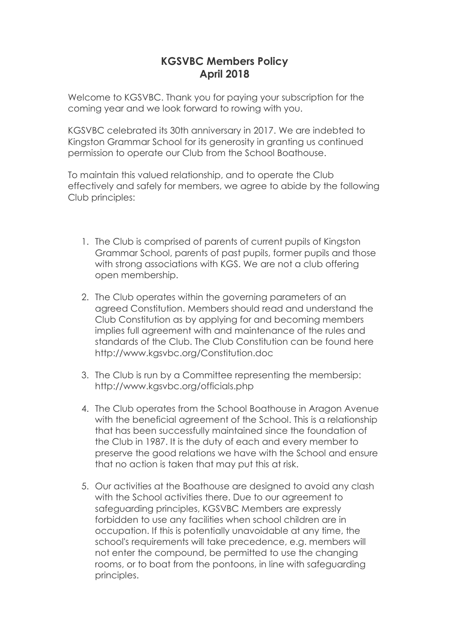## **KGSVBC Members Policy April 2018**

Welcome to KGSVBC. Thank you for paying your subscription for the coming year and we look forward to rowing with you.

KGSVBC celebrated its 30th anniversary in 2017. We are indebted to Kingston Grammar School for its generosity in granting us continued permission to operate our Club from the School Boathouse.

To maintain this valued relationship, and to operate the Club effectively and safely for members, we agree to abide by the following Club principles:

- 1. The Club is comprised of parents of current pupils of Kingston Grammar School, parents of past pupils, former pupils and those with strong associations with KGS. We are not a club offering open membership.
- 2. The Club operates within the governing parameters of an agreed Constitution. Members should read and understand the Club Constitution as by applying for and becoming members implies full agreement with and maintenance of the rules and standards of the Club. The Club Constitution can be found here http://www.kgsvbc.org/Constitution.doc
- 3. The Club is run by a Committee representing the membersip: http://www.kgsvbc.org/officials.php
- 4. The Club operates from the School Boathouse in Aragon Avenue with the beneficial agreement of the School. This is a relationship that has been successfully maintained since the foundation of the Club in 1987. It is the duty of each and every member to preserve the good relations we have with the School and ensure that no action is taken that may put this at risk.
- 5. Our activities at the Boathouse are designed to avoid any clash with the School activities there. Due to our agreement to safeguarding principles, KGSVBC Members are expressly forbidden to use any facilities when school children are in occupation. If this is potentially unavoidable at any time, the school's requirements will take precedence, e.g. members will not enter the compound, be permitted to use the changing rooms, or to boat from the pontoons, in line with safeguarding principles.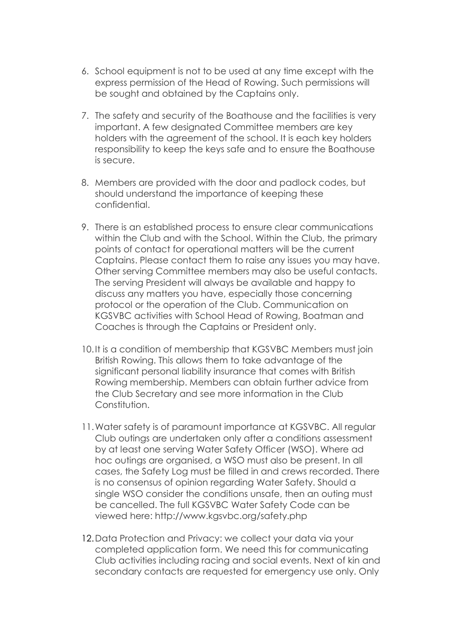- 6. School equipment is not to be used at any time except with the express permission of the Head of Rowing. Such permissions will be sought and obtained by the Captains only.
- 7. The safety and security of the Boathouse and the facilities is very important. A few designated Committee members are key holders with the agreement of the school. It is each key holders responsibility to keep the keys safe and to ensure the Boathouse is secure.
- 8. Members are provided with the door and padlock codes, but should understand the importance of keeping these confidential.
- 9. There is an established process to ensure clear communications within the Club and with the School. Within the Club, the primary points of contact for operational matters will be the current Captains. Please contact them to raise any issues you may have. Other serving Committee members may also be useful contacts. The serving President will always be available and happy to discuss any matters you have, especially those concerning protocol or the operation of the Club. Communication on KGSVBC activities with School Head of Rowing, Boatman and Coaches is through the Captains or President only.
- 10.It is a condition of membership that KGSVBC Members must join British Rowing. This allows them to take advantage of the significant personal liability insurance that comes with British Rowing membership. Members can obtain further advice from the Club Secretary and see more information in the Club Constitution.
- 11.Water safety is of paramount importance at KGSVBC. All regular Club outings are undertaken only after a conditions assessment by at least one serving Water Safety Officer (WSO). Where ad hoc outings are organised, a WSO must also be present. In all cases, the Safety Log must be filled in and crews recorded. There is no consensus of opinion regarding Water Safety. Should a single WSO consider the conditions unsafe, then an outing must be cancelled. The full KGSVBC Water Safety Code can be viewed here: http://www.kgsvbc.org/safety.php
- 12.Data Protection and Privacy: we collect your data via your completed application form. We need this for communicating Club activities including racing and social events. Next of kin and secondary contacts are requested for emergency use only. Only